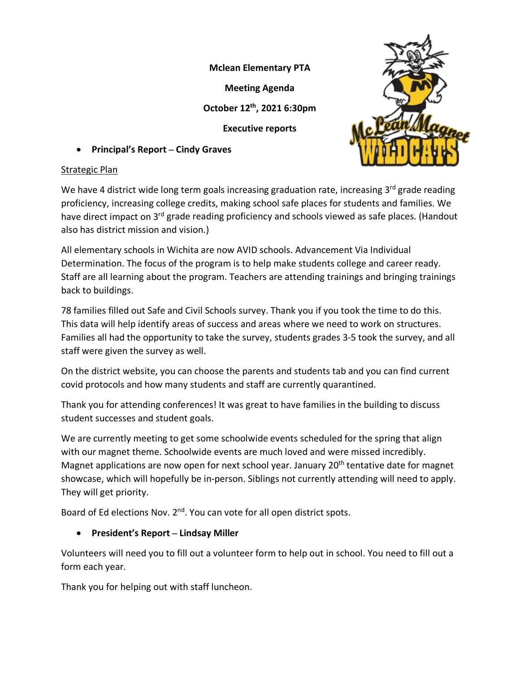**Mclean Elementary PTA**

**Meeting Agenda**

**October 12th, 2021 6:30pm**

**Executive reports**

• **Principal's Report – Cindy Graves**



We have 4 district wide long term goals increasing graduation rate, increasing  $3<sup>rd</sup>$  grade reading proficiency, increasing college credits, making school safe places for students and families. We have direct impact on 3<sup>rd</sup> grade reading proficiency and schools viewed as safe places. (Handout also has district mission and vision.)

All elementary schools in Wichita are now AVID schools. Advancement Via Individual Determination. The focus of the program is to help make students college and career ready. Staff are all learning about the program. Teachers are attending trainings and bringing trainings back to buildings.

78 families filled out Safe and Civil Schools survey. Thank you if you took the time to do this. This data will help identify areas of success and areas where we need to work on structures. Families all had the opportunity to take the survey, students grades 3-5 took the survey, and all staff were given the survey as well.

On the district website, you can choose the parents and students tab and you can find current covid protocols and how many students and staff are currently quarantined.

Thank you for attending conferences! It was great to have families in the building to discuss student successes and student goals.

We are currently meeting to get some schoolwide events scheduled for the spring that align with our magnet theme. Schoolwide events are much loved and were missed incredibly. Magnet applications are now open for next school year. January 20<sup>th</sup> tentative date for magnet showcase, which will hopefully be in-person. Siblings not currently attending will need to apply. They will get priority.

Board of Ed elections Nov. 2<sup>nd</sup>. You can vote for all open district spots.

# • **President's Report – Lindsay Miller**

Volunteers will need you to fill out a volunteer form to help out in school. You need to fill out a form each year.

Thank you for helping out with staff luncheon.

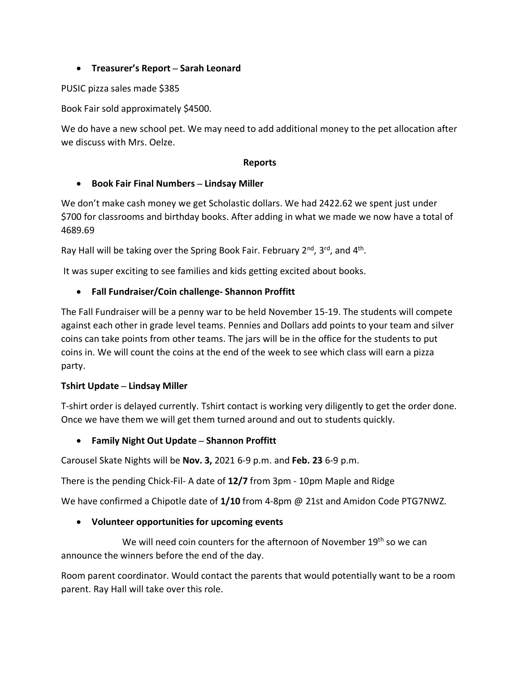## • **Treasurer's Report – Sarah Leonard**

PUSIC pizza sales made \$385

Book Fair sold approximately \$4500.

We do have a new school pet. We may need to add additional money to the pet allocation after we discuss with Mrs. Oelze.

#### **Reports**

#### • **Book Fair Final Numbers – Lindsay Miller**

We don't make cash money we get Scholastic dollars. We had 2422.62 we spent just under \$700 for classrooms and birthday books. After adding in what we made we now have a total of 4689.69

Ray Hall will be taking over the Spring Book Fair. February 2<sup>nd</sup>, 3<sup>rd</sup>, and 4<sup>th</sup>.

It was super exciting to see families and kids getting excited about books.

## • **Fall Fundraiser/Coin challenge- Shannon Proffitt**

The Fall Fundraiser will be a penny war to be held November 15-19. The students will compete against each other in grade level teams. Pennies and Dollars add points to your team and silver coins can take points from other teams. The jars will be in the office for the students to put coins in. We will count the coins at the end of the week to see which class will earn a pizza party.

#### **Tshirt Update – Lindsay Miller**

T-shirt order is delayed currently. Tshirt contact is working very diligently to get the order done. Once we have them we will get them turned around and out to students quickly.

## • **Family Night Out Update – Shannon Proffitt**

Carousel Skate Nights will be **Nov. 3,** 2021 6-9 p.m. and **Feb. 23** 6-9 p.m.

There is the pending Chick-Fil- A date of **12/7** from 3pm - 10pm Maple and Ridge

We have confirmed a Chipotle date of **1/10** from 4-8pm @ 21st and Amidon Code PTG7NWZ.

## • **Volunteer opportunities for upcoming events**

We will need coin counters for the afternoon of November 19<sup>th</sup> so we can announce the winners before the end of the day.

Room parent coordinator. Would contact the parents that would potentially want to be a room parent. Ray Hall will take over this role.